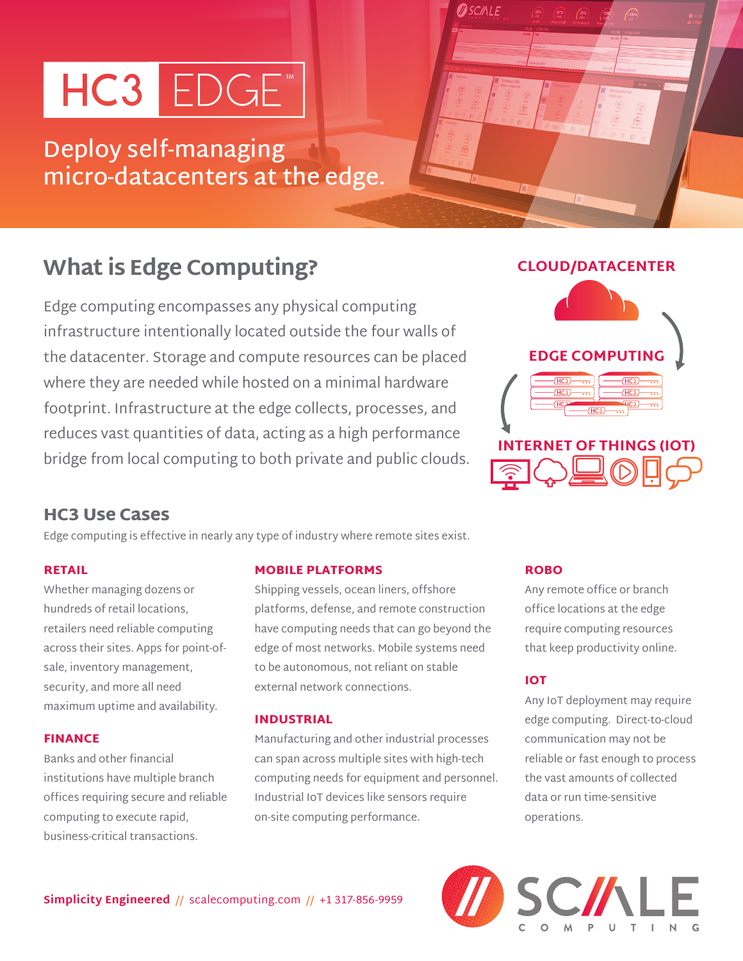# HC3 EDGE

**Deploy self-managing micro-datacenters at the edge.**

## **What is Edge Computing?**

Edge computing encompasses any physical computing infrastructure intentionally located outside the four walls of the datacenter. Storage and compute resources can be placed where they are needed while hosted on a minimal hardware footprint. Infrastructure at the edge collects, processes, and reduces vast quantities of data, acting as a high performance bridge from local computing to both private and public clouds.



## HC3 Use Cases

Edge computing is effective in nearly any type of industry where remote sites exist.

## RETAIL

Whether managing dozens or hundreds of retail locations, retailers need reliable computing across their sites. Apps for point-ofsale, inventory management, security, and more all need maximum uptime and availability.

## FINANCE

Banks and other financial institutions have multiple branch offices requiring secure and reliable computing to execute rapid, business-critical transactions.

## MOBILE PLATFORMS

Shipping vessels, ocean liners, offshore platforms, defense, and remote construction have computing needs that can go beyond the edge of most networks. Mobile systems need to be autonomous, not reliant on stable external network connections.

## INDUSTRIAL

Manufacturing and other industrial processes can span across multiple sites with high-tech computing needs for equipment and personnel. Industrial IoT devices like sensors require on-site computing performance.

## ROBO

**OSCIALE** 

Any remote office or branch office locations at the edge require computing resources that keep productivity online.

## IOT

Any IoT deployment may require edge computing. Direct-to-cloud communication may not be reliable or fast enough to process the vast amounts of collected data or run time-sensitive operations.